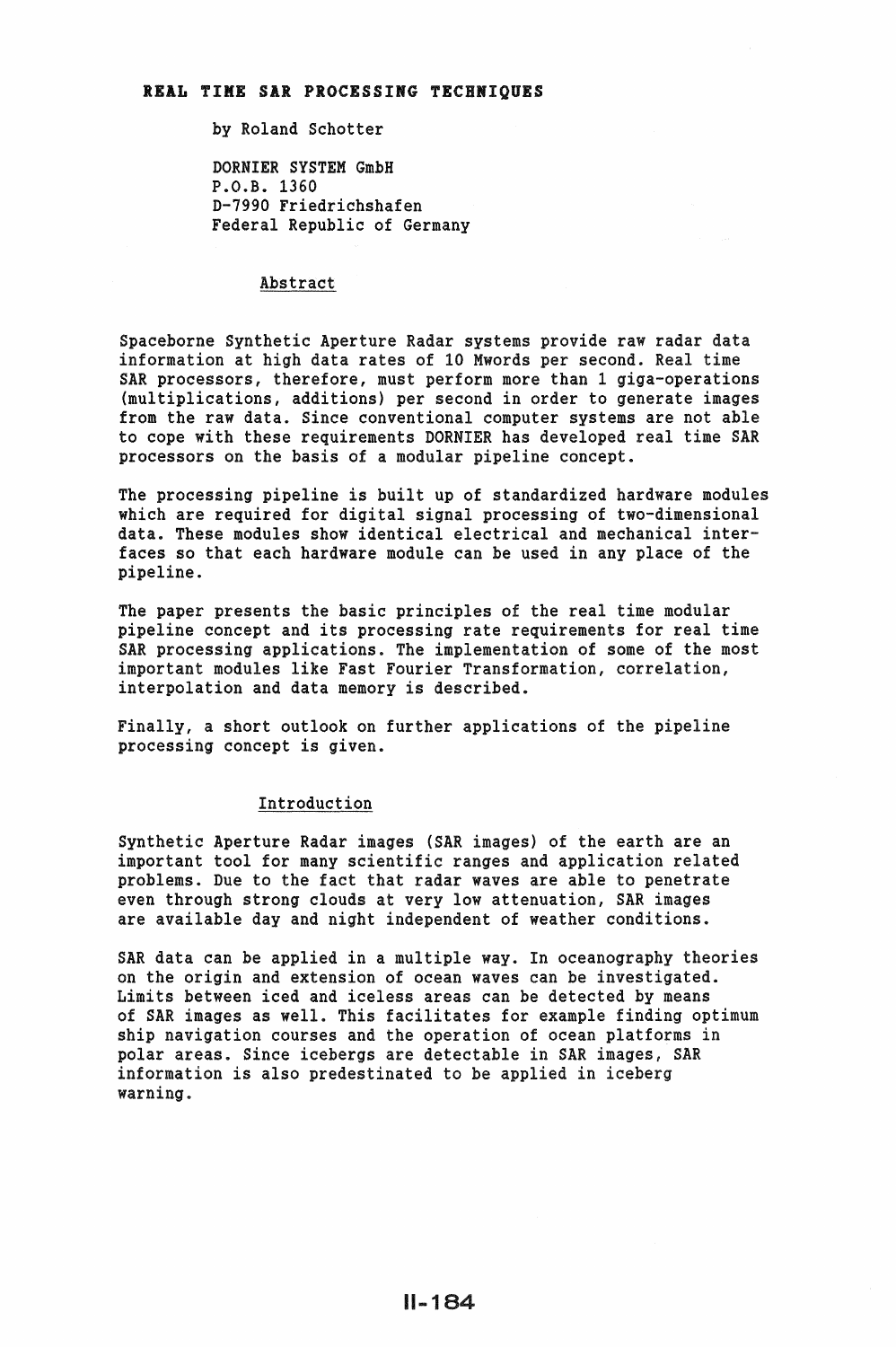### REAL TIME SAR PROCESSING TECHNIQUES

by Roland Schotter

DORNIER SYSTEM GmbH P.O.B. 1360 D-7990 Friedrichshafen Federal Republic of Germany

#### Abstract

Spaceborne Synthetic Aperture Radar systems provide raw radar data information at high data rates of 10 Mwords per second. Real time SAR processors, therefore, must perform more than 1 giga-operations (multiplications, additions) per second in order to generate images from the raw data. Since conventional computer systems are not able to cope with these requirements DORNIER has developed real time SAR processors on the basis of a modular pipeline concept.

The processing pipeline is built up of standardized hardware modules which are required for digital signal processing of two-dimensional data. These modules show identical electrical and mechanical interfaces so that each hardware module can be used in any place of the pipeline.

The paper presents the basic principles of the real time modular pipeline concept and its processing rate requirements for real time SAR processing applications. The implementation of some of the most important modules like Fast Fourier Transformation, correlation, interpolation and data memory is described.

Finally, a short outlook on further applications of the pipeline processing concept is given.

# Introduction

Synthetic Aperture Radar images (SAR images) of the earth are an important tool for many scientific ranges and application related problems. Due to the fact that radar waves are able to penetrate even through strong clouds at very low attenuation, SAR images are available day and night independent of weather conditions.

SAR data can be applied in a multiple way. In oceanography theories on the origin and extension of ocean waves can be investigated. Limits between iced and iceless areas can be detected by means of SAR images as well. This facilitates for example finding optimum ship navigation courses and the operation of ocean platforms in polar areas. Since icebergs are detectable in SAR images, SAR information is also predestinated to be applied in iceberg warning.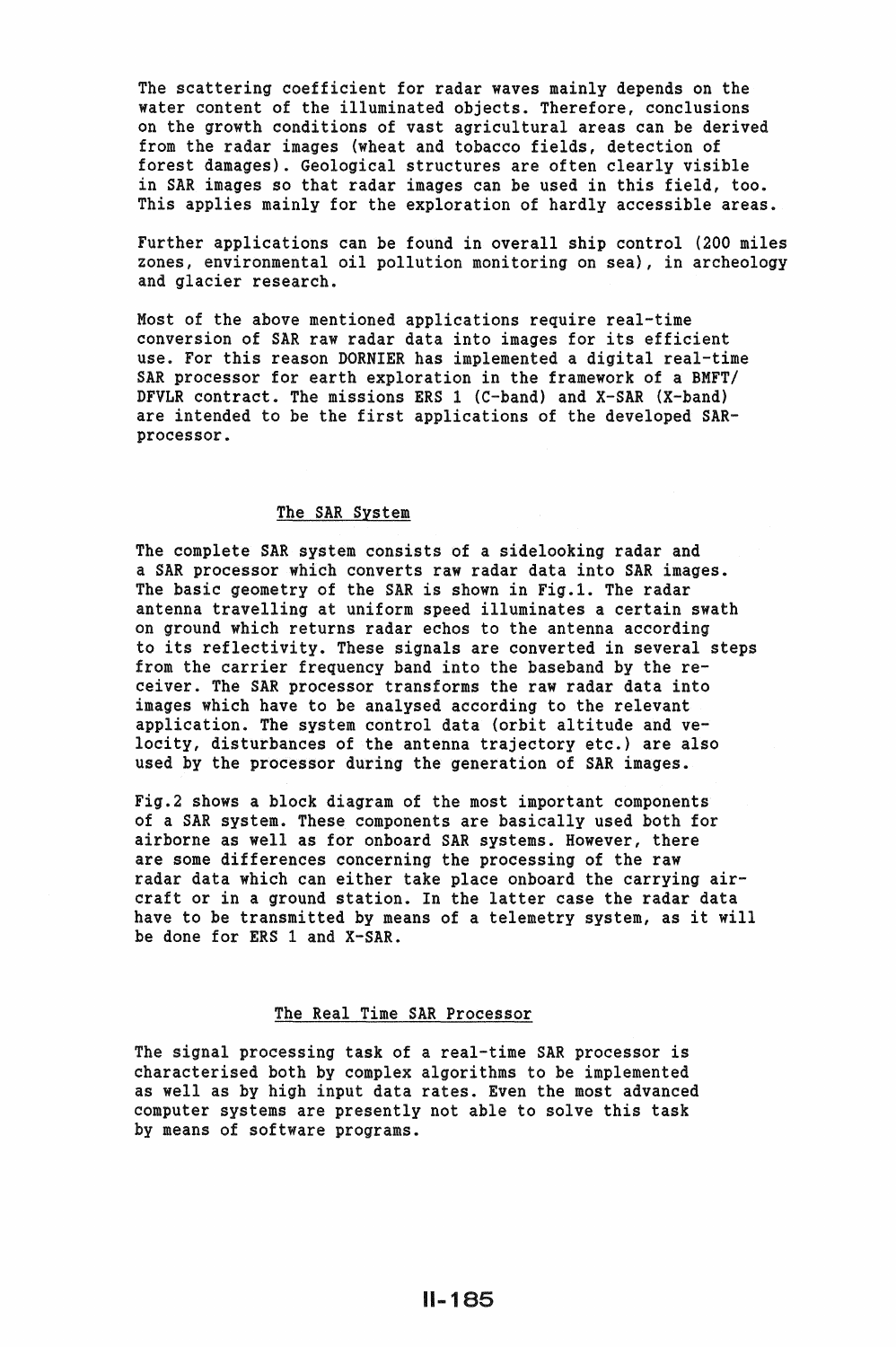The scattering coefficient for radar waves mainly depends on the water content of the illuminated objects. Therefore, conclusions on the growth conditions of vast agricultural areas can be derived from the radar images (wheat and tobacco fields, detection of forest damages). Geological structures are often clearly visible in SAR images so that radar images can be used in this field, too. This applies mainly for the exploration of hardly accessible areas.

Further applications can be found in overall ship control (200 miles zones, environmental oil pollution monitoring on sea}, in archeology and glacier research.

Most of the above mentioned applications require real-time conversion of SAR raw radar data into images for its efficient use. For this reason DORNIER has implemented a digital real-time SAR processor for earth exploration in the framework of a BMFT/ DFVLR contract. The missions ERS 1 (C-band) and X-SAR (X-band) are intended to be the first applications of the developed SARprocessor.

### The SAR System

The complete SAR system consists of a sidelooking radar and a SAR processor which converts raw radar data into SAR images. The basic geometry of the SAR is shown in Fig.1. The radar antenna travelling at uniform speed illuminates a certain swath on ground which returns radar echos to the antenna according to its reflectivity. These signals are converted in several steps from the carrier frequency band into the baseband by the receiver. The SAR processor transforms the raw radar data into images which have to be analysed according to the relevant application. The system control data (orbit altitude and velocity, disturbances of the antenna trajectory etc.) are also used by the processor during the generation of SAR images.

Fig.2 shows a block diagram of the most important components of a SAR system. These components are basically used both for airborne as well as for onboard SAR systems. However, there are some differences concerning the processing of the raw radar data which can either take place onboard the carrying aircraft or in a ground station. In the latter case the radar data have to be transmitted by means of a telemetry system, as it will be done for ERS 1 and X-SAR.

# The Real Time SAR Processor

The signal processing task of a real-time SAR processor is characterised both by complex algorithms to be implemented as well as by high input data rates. Even the most advanced computer systems are presently not able to solve this task by means of software programs.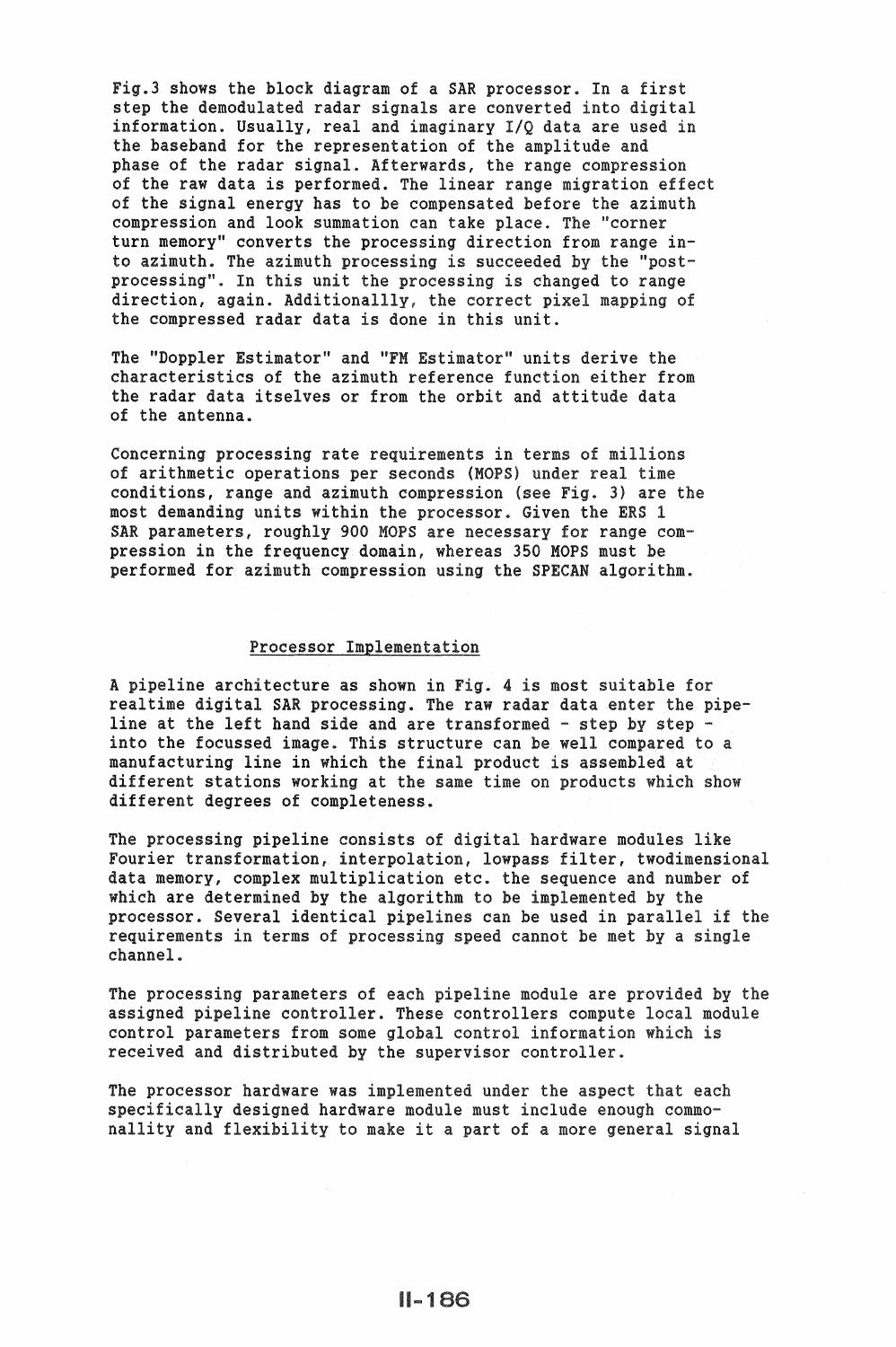Fig.3 shows the block diagram of a SAR processor. In a f step the demodulated radar signals are converted into digital information. Usually, real and imaginary I/Q data are used the baseband for the representation of the amplitude and phase of the radar signal. Afterwards, the range compression of the raw data is performed. The linear range migration effect of the signal energy has to be compensated before the azimuth compression and look summation can take place. The "corner turn memory" converts the processing direction from range into azimuth. The azimuth processing is succeeded by the "postprocessing". In this unit the processing is changed to range direction, again. Additionallly, the correct pixel mapping of the compressed radar data is done in this unit.

The "Doppler Estimator" and "FM Estimator" units derive the characteristics of the azimuth reference function either from the radar data itselves or from the orbit and attitude data of the antenna.

Concerning processing rate requirements in terms of millions of arithmetic operations per seconds (MOPS) under conditions, range and azimuth compression (see Fig. 3) are the most demanding units within the processor. Given the ERS 1 SAR parameters, roughly 900 MOPS are necessary for range compression in the frequency domain, whereas 350 MOPS must be performed for azimuth compression using the SPECAN algorithm.

### Processor Implementation

A pipeline architecture as shown in Fig. 4 is most suitable for realtime digital SAR processing. The raw radar data enter the pipeline at the left hand side and are transformed  $-$  step by step  $$ into the focussed image. This structure can be well compared to a manufacturing line in which the final product is assembled at different stations working at the same time on products which show different degrees of completeness.

The processing pipeline consists of digital hardware modules like Fourier transformation, interpolation, lowpass filter, twodimensional data memory, complex multiplication etc. the sequence and number of which are determined by the algorithm to be implemented by the processor. Several identical pipelines can be used in requirements in terms of processing speed cannot be met by a single channel ..

The processing parameters of each pipeline module are provided by the assigned pipeline controller. These controllers compute local module control parameters from some global control received and distributed by the supervisor controller.

The processor hardware was implemented under the aspect that each specifically designed hardware module must include enough commonallity and flexibility to make it a part of a more general signal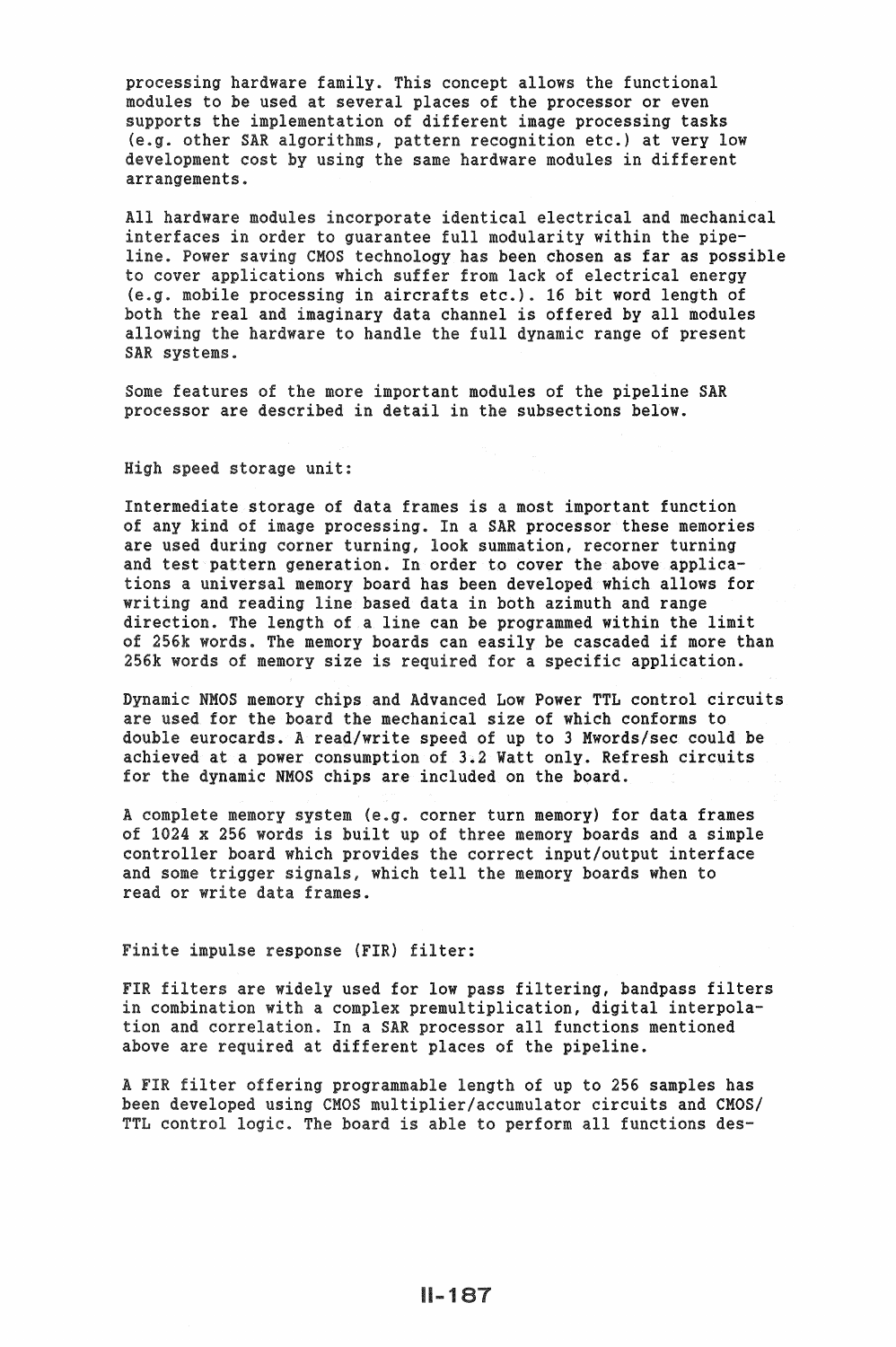processing hardware family. This concept allows the functional modules to be used at several places of the processor or even supports the implementation of different image processing tasks *.g.* other SAR algorithms, pattern recognition etc.) at very low development cost by using the same hardware modules in different arrangements.

All hardware modules incorporate identical electrical and mechanical interfaces in order to guarantee full modularity within the pipeline. Power saving CMOS technology has been chosen as far as possible to cover applications which suffer from lack of electrical energy *.g.* mobile processing in aircrafts etc.). 16 bit word length of both the real and imaginary data channel is offered by all modules allowing the hardware to handle the full dynamic range of present SAR systems.

Some features of the more important modules of the pipeline SAR processor are described in detail in the subsections below.

### High speed storage unit:

Intermediate storage of data frames is a most important function of any kind of image processing. In a SAR processor these memories are used during corner turning, look summation, recorner turning and test pattern generation. In order to cover the above applications a universal memory board has been developed which allows for writing and reading line based data in both azimuth and range direction. The length of a line can be programmed within the limit of 256k words. The memory boards can easily be cascaded if more than 256k words of memory size is required for a specific application.

Dynamic NMOS memory chips and Advanced Low Power TTL control circuits are used for the board the mechanical size of which conforms to double eurocards. A read/write speed of up to 3 Mwords/sec could be achieved at a power consumption of 3.2 Watt only. Refresh circuits for the dynamic NMOS chips are included on the board.

A complete memory system (e.g. corner turn memory) for data frames of  $1024$  x 256 words is built up of three memory boards and a simple controller board which provides the correct input/output interface and some trigger signals, which tell the memory boards when to read or write data frames.

## Finite impulse response (FIR) filter:

FIR filters are widely used for low pass filtering, bandpass filters in combination with a complex premultiplication, digital interpolation and correlation. In a SAR processor all functions mentioned above are required at different places of the pipeline.

A FIR filter offering programmable length of up to 256 samples has been developed using CMOS multiplier/accumulator circuits and CMOS/ TTL control logic. The board is able to perform all functions des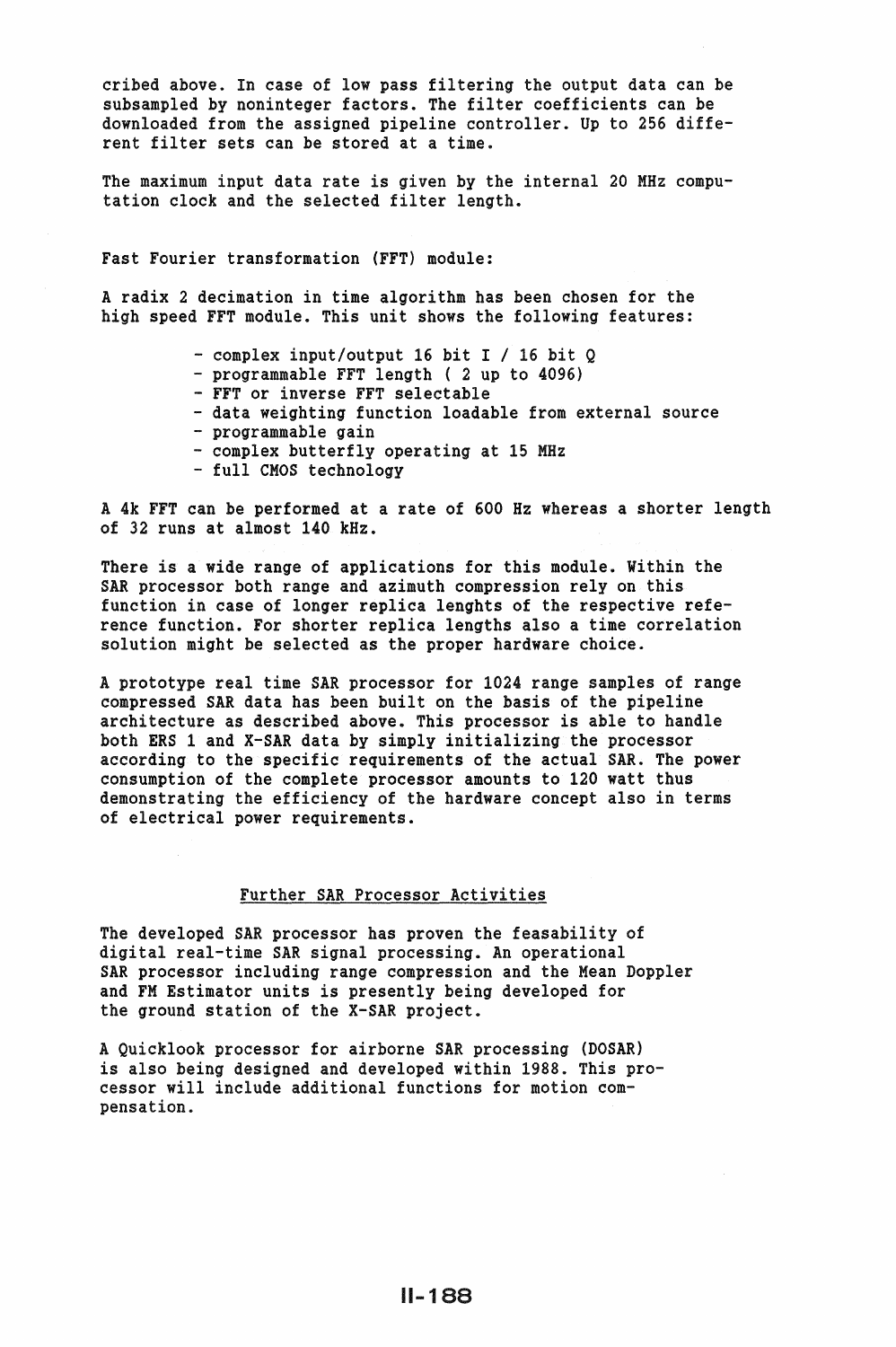cribed above. In case of low pass filtering the output data can be subsampled by noninteger factors. The filter coefficients can be downloaded from the assigned pipeline controller. Up to 256 different filter sets can be stored at a time.

The maximum input data rate is given by the internal 20 MHz computation clock and the selected filter length.

Fast Fourier transformation (FFT) module:

A radix 2 decimation in time algorithm has been chosen for the high speed FFT module. This unit shows the following features:

- 
- 
- 
- complex input/output 16 bit I / 16 bit Q<br>- programmable FFT length (2 up to 4096)<br>- FFT or inverse FFT selectable<br>- data weighting function loadable from external source<br>- programmable gain<br>- complex butterfly operating
- 
- 
- 

A 4k FFT can be performed at a rate of 600 Hz whereas a shorter length of 32 runs at almost 140 kHz.

There is a wide range of applications for this module. Within the SAR processor both range and azimuth compression rely on this function in case of longer replica lenghts of the respective reference function. For shorter replica lengths also a time correlation solution might be selected as the proper hardware choice.

A prototype real time SAR processor for 1024 range samples of range compressed SAR data has been built on the basis of the pipeline architecture as described above. This processor is able to handle both ERS 1 and X-SAR data by simply initializing the processor according to the specific requirements of the actual SAR. The power consumption of the complete processor amounts to 120 watt thus demonstrating the efficiency of the hardware concept also in terms of electrical power requirements.

## Further SAR Processor Activities

The developed SAR processor has proven the feasability of digital real-time SAR signal processing. An operational SAR processor including range compression and the Mean Doppler and FM Estimator units is presently being developed for the ground station of the X-SAR project.

A Quicklook processor for airborne SAR processing (DOSAR) is also being designed and developed within 1988. This processor will include additional functions for motion compensation.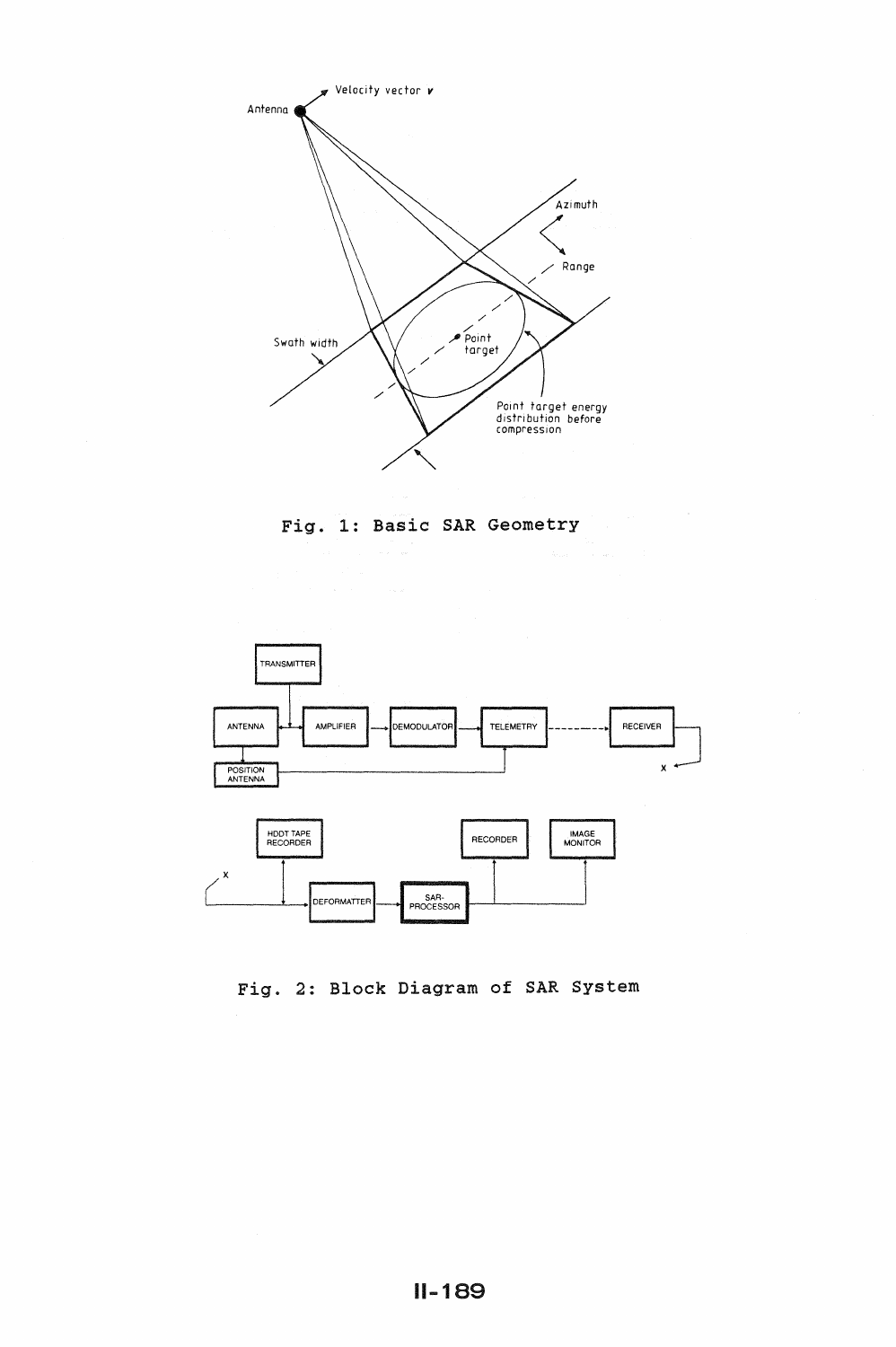





Fig. 2: Block Diagram of SAR System